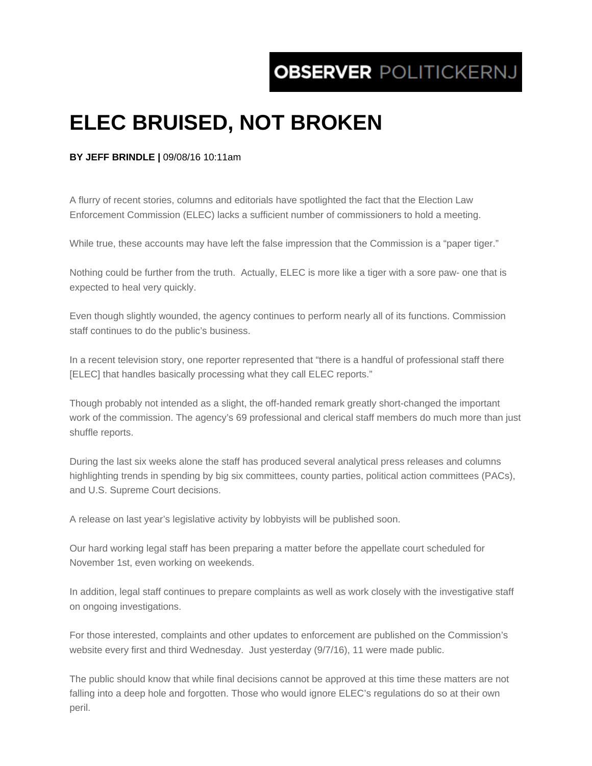## **OBSERVER POLITICKERNJ**

## **ELEC BRUISED, NOT BROKEN**

## **BY JEFF BRINDLE |** 09/08/16 10:11am

A flurry of recent stories, columns and editorials have spotlighted the fact that the Election Law Enforcement Commission (ELEC) lacks a sufficient number of commissioners to hold a meeting.

While true, these accounts may have left the false impression that the Commission is a "paper tiger."

Nothing could be further from the truth. Actually, ELEC is more like a tiger with a sore paw- one that is expected to heal very quickly.

Even though slightly wounded, the agency continues to perform nearly all of its functions. Commission staff continues to do the public's business.

In a recent television story, one reporter represented that "there is a handful of professional staff there [ELEC] that handles basically processing what they call ELEC reports."

Though probably not intended as a slight, the off-handed remark greatly short-changed the important work of the commission. The agency's 69 professional and clerical staff members do much more than just shuffle reports.

During the last six weeks alone the staff has produced several analytical press releases and columns highlighting trends in spending by big six committees, county parties, political action committees (PACs), and U.S. Supreme Court decisions.

A release on last year's legislative activity by lobbyists will be published soon.

Our hard working legal staff has been preparing a matter before the appellate court scheduled for November 1st, even working on weekends.

In addition, legal staff continues to prepare complaints as well as work closely with the investigative staff on ongoing investigations.

For those interested, complaints and other updates to enforcement are published on the Commission's website every first and third Wednesday. Just yesterday (9/7/16), 11 were made public.

The public should know that while final decisions cannot be approved at this time these matters are not falling into a deep hole and forgotten. Those who would ignore ELEC's regulations do so at their own peril.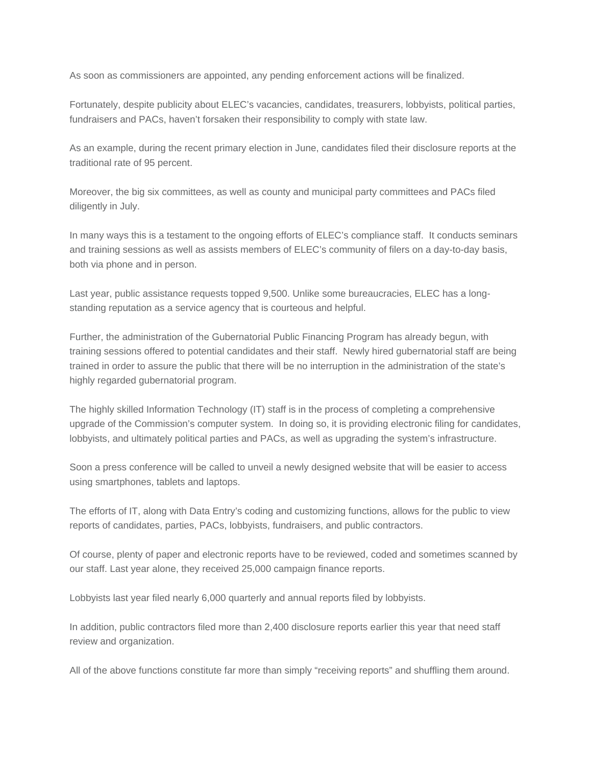As soon as commissioners are appointed, any pending enforcement actions will be finalized.

Fortunately, despite publicity about ELEC's vacancies, candidates, treasurers, lobbyists, political parties, fundraisers and PACs, haven't forsaken their responsibility to comply with state law.

As an example, during the recent primary election in June, candidates filed their disclosure reports at the traditional rate of 95 percent.

Moreover, the big six committees, as well as county and municipal party committees and PACs filed diligently in July.

In many ways this is a testament to the ongoing efforts of ELEC's compliance staff. It conducts seminars and training sessions as well as assists members of ELEC's community of filers on a day-to-day basis, both via phone and in person.

Last year, public assistance requests topped 9,500. Unlike some bureaucracies, ELEC has a longstanding reputation as a service agency that is courteous and helpful.

Further, the administration of the Gubernatorial Public Financing Program has already begun, with training sessions offered to potential candidates and their staff. Newly hired gubernatorial staff are being trained in order to assure the public that there will be no interruption in the administration of the state's highly regarded gubernatorial program.

The highly skilled Information Technology (IT) staff is in the process of completing a comprehensive upgrade of the Commission's computer system. In doing so, it is providing electronic filing for candidates, lobbyists, and ultimately political parties and PACs, as well as upgrading the system's infrastructure.

Soon a press conference will be called to unveil a newly designed website that will be easier to access using smartphones, tablets and laptops.

The efforts of IT, along with Data Entry's coding and customizing functions, allows for the public to view reports of candidates, parties, PACs, lobbyists, fundraisers, and public contractors.

Of course, plenty of paper and electronic reports have to be reviewed, coded and sometimes scanned by our staff. Last year alone, they received 25,000 campaign finance reports.

Lobbyists last year filed nearly 6,000 quarterly and annual reports filed by lobbyists.

In addition, public contractors filed more than 2,400 disclosure reports earlier this year that need staff review and organization.

All of the above functions constitute far more than simply "receiving reports" and shuffling them around.